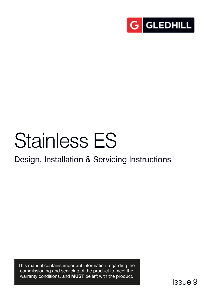

# Stainless ES

# Design, Installation & Servicing Instructions

This manual contains important information regarding the commissioning and servicing of the product to meet the warranty conditions, and **MUST** be left with the product.

Issue 9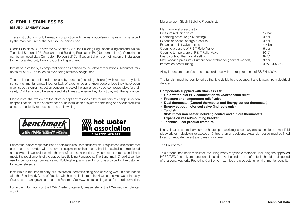## **GLEDHILL STAINLESS ES**

#### **ISSUE 9 : JANUARY 2020**

These instructions should be read in conjunction with the installation/servicing instructions issued by the manufacturer of the heat source being used.

Gledhill Stainless ES is covered by Section G3 of the Building Regulations (England and Wales) Technical Standard P3 (Scotland) and Building Regulation P5 (Northern Ireland). Compliance can be achieved via a Competent Person Self Certification Scheme or notificaton of installation to the Local Authority Building Control Department.

It must be installed by a competent person as defined by the relevant regulations. Manufacturers notes must NOT be taken as over-riding statutory obligations.

This appliance is not intended for use by persons (including children) with reduced physical, sensory or mental capabilities, or lack of experience and knowledge unless they have been given supervision or instruction concerning use of the appliance by a person responsible for their safety. Children should be supervised at all times to ensure they do not play with the appliance.

Please note: that we do not therefore accept any responsibility for matters of design selection or specification, for the effectiveness of an installation or system containing one of our products unless specifically requested to do so in writing.





Benchmark places responsibilities on both manufacturers and installers. The purpose is to ensure that customers are provided with the correct equipment for their needs, that it is installed, commissioned and serviced in accordance with the manufacturers instructions by competent persons and that it meets the requirements of the appropriate Building Regulations. The Benchmark Checklist can be used to demonstrate compliance with Building Regulations and should be provided to the customer for future reference.

Installers are required to carry out installation, commissioning and servicing work in accordance with the Benchmark Code of Practice which is available from the Heating and Hot Water Industry Council who manage and promote the Scheme. Visit www.centralheating.co.uk for more information.

For further information on the HWA Charter Statement, please refer to the HWA website hotwater. org.uk.

Manufacturer: Gledhill Building Products Ltd

| Maximum inlet pressure to                                        |                |
|------------------------------------------------------------------|----------------|
| Pressure reducing valve                                          | 12 bar         |
| Operating pressure (PRV setting)                                 | 3 bar          |
| Expansion vessel charge pressure                                 | 3 bar          |
| Expansion relief valve setting                                   | $4.5$ bar      |
| Opening pressure of P & T Relief Valve                           | 6 bar          |
| Opening temperature of P & T Relief Valve                        | $95^{\circ}$ C |
| Energy cut-out thermostat setting                                | $82^{\circ}$ C |
| Max. working pressure - Primary heat exchanger (Indirect models) | 3 bar          |
| Immersion heater rating                                          | 3kW, 240V AC   |

All cylinders are manufactured in accordance with the requirements of BS EN 12897.

The tundish must be positioned so that it is visible to the occupant and is away from electrical devices.

**Components supplied with Stainless ES:**

- **Cold water inlet PRV combination valve/expansion relief**
- **Pressure and temperature relief valve**
- **Dual thermostat (Control thermostat and Energy cut-out thermostat)**
- **Energy cut-out motorised valve (indirects only)**
- **Tundish**
- **3kW Immersion heater including control and cut out thermostats**
- **Expansion vessel/mounting bracket**
- **Technical/user product literature**

In any situation where the volume of heated pipework (eg. secondary circulation pipes or manifold pipework for multiple units) exceeds 10 litres, then an additional expansion vessel must be fitted to accommodate the extra expansion volume.

#### The Environment

This product has been manufactured using many recyclable materials, including the approved HCFC/CFC free polyurethane foam insulation. At the end of its useful life, it should be disposed of at a Local Authority Recycling Centre, to maximise the products full environmental benefits.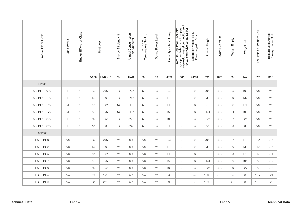| Product Stock Code | Load Profile | Class<br>Energy Efficiency |       | Heat Loss | Energy Efficiency % | Annual Consumption<br>(kWh/annum) | Thermostat<br>Temperature Setting | Sound Power Level | Capacity (Total Volume) | group c/w balance cold supply,<br>expansion vessel connection and<br>expansion valve set at 4.5 bar<br>Pressure Regulator 3 bar inlet | Expansion Vessel size.<br>Pre-charged to 3 bar | Overall Height | Overall Diameter | Weight Empty | Weight Full | kW Rating of Primary Coil | Pressure Loss Across<br>Primary Heater Coil |
|--------------------|--------------|----------------------------|-------|-----------|---------------------|-----------------------------------|-----------------------------------|-------------------|-------------------------|---------------------------------------------------------------------------------------------------------------------------------------|------------------------------------------------|----------------|------------------|--------------|-------------|---------------------------|---------------------------------------------|
|                    |              |                            | Watts | kWh/24h   | $\%$                | kWh                               | $^{\circ}C$                       | db                | Litres                  | bar                                                                                                                                   | Litres                                         | mm             | mm               | KG           | KG          | kW                        | bar                                         |
| <b>Direct</b>      |              |                            |       |           |                     |                                   |                                   |                   |                         |                                                                                                                                       |                                                |                |                  |              |             |                           |                                             |
| SESINPDR090        | L            | $\mathsf{C}$               | 36    | 0.87      | 37%                 | 2737                              | 62                                | 15                | 93                      | 3                                                                                                                                     | 12                                             | 706            | 530              | 15           | 108         | n/a                       | n/a                                         |
| SESINPDR120        | L            | $\mathsf C$                | 43    | 1.03      | 37%                 | 2755                              | 62                                | 15                | 118                     | 3                                                                                                                                     | 12                                             | 832            | 530              | 19           | 137         | n/a                       | n/a                                         |
| SESINPDR150        | M            | C                          | 52    | 1.24      | 36%                 | 1410                              | 62                                | 15                | 149                     | 3                                                                                                                                     | 19                                             | 1012           | 530              | 22           | 171         | n/a                       | n/a                                         |
| SESINPDR170        | M            | $\mathsf C$                | 57    | 1.37      | 36%                 | 1417                              | 62                                | 15                | 169                     | 3                                                                                                                                     | 19                                             | 1131           | 530              | 24           | 193         | n/a                       | n/a                                         |
| SESINPDR200        | L            | $\mathsf{C}$               | 65    | 1.56      | 37%                 | 2773                              | 62                                | 15                | 198                     | 3                                                                                                                                     | 25                                             | 1305           | 530              | 27           | 225         | n/a                       | n/a                                         |
| SESINPDR250        | L            | $\mathsf C$                | 79    | 1.89      | 37%                 | 2763                              | 62                                | 15                | 248                     | 3                                                                                                                                     | 25                                             | 1603           | 530              | 33           | 281         | n/a                       | n/a                                         |
| Indirect           |              |                            |       |           |                     |                                   |                                   |                   |                         |                                                                                                                                       |                                                |                |                  |              |             |                           |                                             |
| SESINPIN090        | n/a          | B                          | 36    | 0.87      | n/a                 | n/a                               | n/a                               | n/a               | 93                      | 3                                                                                                                                     | 12                                             | 706            | 530              | 17           | 110         | 13.4                      | 0.15                                        |
| SESINPIN120        | n/a          | B                          | 43    | 1.03      | n/a                 | n/a                               | n/a                               | n/a               | 118                     | 3                                                                                                                                     | 12                                             | 832            | 530              | 20           | 138         | 14.6                      | 0.16                                        |
| SESINPIN150        | n/a          | $\mathsf B$                | 52    | 1.24      | n/a                 | n/a                               | n/a                               | n/a               | 149                     | 3                                                                                                                                     | 19                                             | 1012           | 530              | 23           | 172         | 14.0                      | 0.14                                        |
| SESINPIN170        | n/a          | B                          | 57    | 1.37      | n/a                 | n/a                               | n/a                               | n/a               | 169                     | 3                                                                                                                                     | 19                                             | 1131           | 530              | 26           | 195         | 16.2                      | 0.19                                        |
| SESINPIN200        | n/a          | $\mathsf C$                | 65    | 1.56      | n/a                 | n/a                               | n/a                               | n/a               | 198                     | 3                                                                                                                                     | 25                                             | 1305           | 530              | 29           | 227         | 16.0                      | 0.18                                        |
| SESINPIN250        | n/a          | $\mathsf{C}$               | 79    | 1.89      | n/a                 | n/a                               | n/a                               | n/a               | 248                     | 3                                                                                                                                     | 25                                             | 1603           | 530              | 35           | 283         | 16.7                      | 0.21                                        |
| SESINPIN300        | n/a          | C                          | 92    | 2.20      | n/a                 | n/a                               | n/a                               | n/a               | 295                     | 3                                                                                                                                     | 35                                             | 1895           | 530              | 41           | 336         | 18.3                      | 0.23                                        |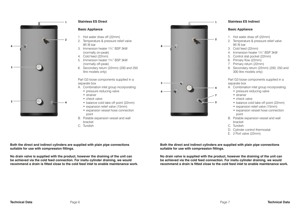

#### **Stainless ES Direct**

#### **Basic Appliance**

- 1. Hot water draw off (22mm)
- 2. Temperature & pressure relief valve 95°/6 bar
- 3. Immersion heater 1¾" BSP 3kW (normally on-peak)
- 4. Cold feed (22mm)
- 5. Immersion heater 1¾" BSP 3kW (normally off-peak)
- 6. Secondary return (22mm) (200 and 250 litre models only)

Part G3 loose components supplied in a separate box

- A. Combination inlet group incorporating:
	- pressure reducing valve
	- strainer
	- check valve
	- balance cold take off point (22mm)
	- expansion relief valve (15mm)
	- expansion vessel hose connection point
- B. Potable expansion vessel and wall bracket
- C. Tundish

**Both the direct and indirect cylinders are supplied with plain pipe connections suitable for use with compression fittings.**

**No drain valve is supplied with the product, however the draining of the unit can be achieved via the cold feed connection. For insitu cylinder draining, we would recommend a drain is fitted close to the cold feed inlet to enable maintenance work.**



#### **Stainless ES Indirect**

#### **Basic Appliance**

- 1. Hot water draw off (22mm)
- 2. Temperature & pressure relief valve 95°/6 bar
- 3. Cold feed (22mm)
- 4. Immersion heater 1¾" BSP 3kW
- 5. Control stat pocket (22mm)
- 6. Primary flow (22mm)
- 7. Primary return (22mm)
- 8. Secondary return (22mm) (200, 250 and 300 litre models only)

Part G3 loose components supplied in a separate box

- A. Combination inlet group incorporating:
	- pressure reducing valve
	- strainer
	- check valve
	- balance cold take off point (22mm)
	- expansion relief valve (15mm)
	- expansion vessel hose connection point
- B. Potable expansion vessel and wall bracket
- C. Tundish
- D. Cylinder control thermostat
- E. 2 Port valve (22mm)

**Both the direct and indirect cylinders are supplied with plain pipe connections suitable for use with compression fittings.**

**No drain valve is supplied with the product, however the draining of the unit can be achieved via the cold feed connection. For insitu cylinder draining, we would recommend a drain is fitted close to the cold feed inlet to enable maintenance work.**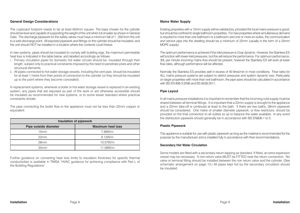#### **General Design Considerations**

The cupboard footprint needs to be at least 650mm square. The base chosen for the cylinder should be level and capable of supporting the weight of the unit when full of water as shown in General Data. The discharge pipework for the safety valves must have a minimum fall of 1 : 200 from the unit to a safe discharge point. All exposed pipework and fittings on the cylinder should be insulated, and the unit should NOT be installed in a location where the contents could freeze.

In new systems, pipes should be insulated to comply with building regs, the maximum permissible heat loss is indicated in the table below, and labelled accordingly as follows:

- i. Primary circulation pipes for domestic hot water circuits should be insulated through their length, subject only to practical constraints imposed by the need to penetrate joists and other structural elements.
- ii. All pipes connected to hot water storage vessels, including the vent pipe, should be insulated for at least 1 metre from their points of connection to the cylinder (or they should be insulated up to the point where they become concealed).

In replacement systems, whenever a boiler or hot water storage vessel is replaced in an existing system, any pipes that are exposed as part of the work or are otherwise accessible should be insulated as recommended for new systems, or to some lesser standard where practical constraints dictate.

The pipe connecting the boiler flow to the appliance must not be less than 22mm copper or equivalent.

|                       | <b>Insulation of pipework</b> |
|-----------------------|-------------------------------|
| Pipe outside diameter | <b>Maximum heat loss</b>      |
| 15 <sub>mm</sub>      | 7.89W/m                       |
| 22mm                  | 9.12W/m                       |
| 28 <sub>mm</sub>      | 10.07W/m                      |
| 35mm                  | 11.08W/m                      |

Further guidance on converting heat loss limits to insulation thickness for specific thermal conductivities is available in TIMSA "HVAC guidance for achieving compliance with Part L of the Building Regulations".

#### **Mains Water Supply**

Existing properties with a 15mm supply will be satisfactory, provided the local mains pressure is good, but should be confined to single bathroom properties. For new properties where simultaneous demand is required to more than one bathroom or a bathroom and one or more en-suites, the communication and service pipe into the dwelling should be a minimum of 22mm (usually in the form of a 25mm MDPE supply).

The optimum performance is achieved if the inlet pressure is 3 bar dynamic. However, the Stainless ES will function with lower inlet pressures, but this will reduce the performance. For optimum performance, 30L per minute incoming mains flow should be present, however the Stainless ES will work at lower flow rates, although performance will be affected.

Normally the Stainless ES provides well in excess of 40 litres/min in most conditions. Flow rates for ALL mains pressure systems are subject to district pressures and system dynamic loss. Particularly on larger properties with more than one bathroom, the pipe sizes should be calculated in accordance with BS EN 806-3:2006 and BS 8558:2011.

#### **Pipe Layout**

In all mains pressure installations it is important to remember that the incoming cold supply must be shared between all terminal fittings. It is important that a 22mm supply is brought to the appliance and a 22mm take-off is continued at least to the bath. If there are two baths, 28mm pipework should be considered. One metre of smaller diameter pipework, or flow restrictors, should be provided on the final connection to all outlets so as to balance the water available. In any event the distribution pipework should generally be in accordance with BS EN806-1 to 5.

#### **Plastic Pipework**

This appliance is suitable for use with plastic pipework as long as the material is recommended for the purpose by the manufacturer and is installed fully in accordance with their recommendations.

#### **Secondary Hot Water Circulation**

Some models are fitted with a secondary return tapping as standard. If fitted, an extra expansion vessel may be necessary. A non-return valve MUST be FITTED near the return connection. No valve or terminal fitting should be installed between the non return valve and the cylinder. (See schematic arrangement on page 13.) All pipes kept hot by the secondary circulation should be insulated.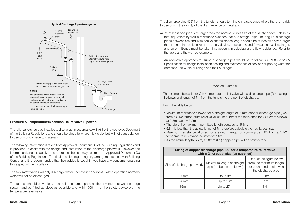

#### **Pressure & Temperature/expansion Relief Valve Pipework**

The relief valve should be installed to discharge in accordance with G3 of the Approved Document of the Building Regulations and should be piped to where it is visible, but will not cause danger to persons or damage to materials.

The following information is taken from Approved Document G3 of the Building Regulations and is provided to assist with the design and installation of the discharge pipework. However, the information is not exhaustive and reference should always be made to Approved Document G3 of the Building Regulations. The final decision regarding any arrangements rests with Building Control and it is recommended that their advice is sought if you have any concerns regarding this aspect of the installation.

The two safety valves will only discharge water under fault conditions. When operating normally water will not be discharged.

The tundish should be vertical, located in the same space as the unvented hot water storage system and be fitted as close as possible and within 600mm of the safety device e.g. the temperature relief valve.

The discharge pipe (D2) from the tundish should terminate in a safe place where there is no risk to persons in the vicinity of the discharge, be of metal and:

a) Be at least one pipe size larger than the nominal outlet size of the safety device unless its total equivalent hydraulic resistance exceeds that of a straight pipe 9m long i.e. discharge pipes between 9m and 18m equivalent resistance length should be at least two sizes larger than the nominal outlet size of the safety device, between 18 and 27m at least 3 sizes larger, and so on. Bends must be taken into account in calculating the flow resistance. Refer to the table and the worked example.

An alternative approach for sizing discharge pipes would be to follow BS EN 806-2:2005 Specification for design installation, testing and maintenance of services supplying water for domestic use within buildings and their curtilages.

#### Worked Example

The example below is for G1/2 temperature relief valve with a discharge pipe (D2) having 4 elbows and length of 7m from the tundish to the point of discharge.

From the table below:

- Maximum resistance allowed for a straight length of 22mm copper discharge pipe (D2) from a G1/2 temperature relief valve is: 9m subtract the resistance for 4 x 22mm elbows at 0.8m each  $=$  3.2m.
- Therefore the maximum permitted length equates to: 5.8m.
- 5.8m is less than the actual length of 7m therefore calculate the next largest size.
- Maximum resistance allowed for a straight length of 28mm pipe (D2) from a G1/2 temperature relief valve equates to: 14m.
- As the actual length is 7m, a 28mm (D2) copper pipe will be satisfactory.

|                            | Sizing of copper discharge pipe 'D2' for a temperature relief valve<br>with a G1/2 outlet size (as supplied) |                                                                                                       |
|----------------------------|--------------------------------------------------------------------------------------------------------------|-------------------------------------------------------------------------------------------------------|
| Size of discharge pipework | Maximum length of straight<br>pipe (no bends or elbows)                                                      | Deduct the figure below<br>from the maximum length<br>for each bend or elbow in<br>the discharge pipe |
| 22mm                       | Up to 9m                                                                                                     | 0.8 <sub>m</sub>                                                                                      |
| 28 <sub>mm</sub>           | Up to 18m                                                                                                    | 1m                                                                                                    |
| 35mm                       | Up to 27m                                                                                                    | 1.4m                                                                                                  |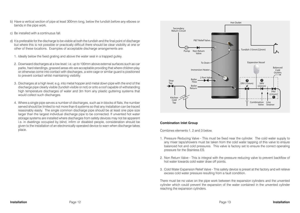- b) Have a vertical section of pipe at least 300mm long, below the tundish before any elbows or bends in the pipe work.
- c) Be installed with a continuous fall.
- d) It is preferable for the discharge to be visible at both the tundish and the final point of discharge but where this is not possible or practically difficult there should be clear visibility at one or other of these locations. Examples of acceptable discharge arrangements are:
	- 1. Ideally below the fixed grating and above the water seal in a trapped gulley.
	- 2. Downward discharges at a low level; i.e. up to 100mm above external surfaces such as car parks, hard standings, grassed areas etc are acceptable providing that where children play or otherwise come into contact with discharges, a wire cage or similar guard is positioned to prevent contact whilst maintaining visibility.
	- 3. Discharges at a high level; e.g. into metal hopper and metal down pipe with the end of the discharge pipe clearly visible (tundish visible or not) or onto a roof capable of withstanding high temperature discharges of water and 3m from any plastic guttering systems that would collect such discharges.
	- 4. Where a single pipe serves a number of discharges, such as in blocks of flats, the number served should be limited to not more than 6 systems so that any installation can be traced reasonably easily. The single common discharge pipe should be at least one pipe size larger than the largest individual discharge pipe to be connected. If unvented hot water storage systems are installed where discharges from safety devices may not be apparent i.e. in dwellings occupied by blind, infirm or disabled people, consideration should be given to the installation of an electronically operated device to warn when discharge takes place.



#### **Combination Inlet Group**

Combines elements 1, 2 and 3 below.

- 1. Pressure Reducing Valve This must be fixed near the cylinder. The cold water supply to any mixer taps/showers must be taken from the cold water tapping of this valve to ensure balanced hot and cold pressures. This valve is factory set to ensure the correct operating pressure for the Stainless ES.
- 2. Non Return Valve This is integral with the pressure reducing valve to prevent backflow of hot water towards cold water draw off points.
- 3. Cold Water Expansion Relief Valve This safety device is preset at the factory and will relieve excess cold water pressure resulting from a fault condition.

There must be no valve on the pipe work between the expansion cylinders and the unvented cylinder which could prevent the expansion of the water contained in the unvented cylinder reaching the expansion cylinders.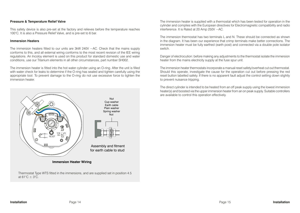#### **Pressure & Temperature Relief Valve**

This safety device is also pre-set at the factory and relieves before the temperature reaches 100°C. It is also a Pressure Relief Valve, and is pre-set to 6 bar.

#### **Immersion Heaters**

The immersion heaters fitted to our units are  $3kW$  240V  $\sim$  AC. Check that the mains supply conforms to this, and all external wiring conforms to the most recent revision of the IEE wiring regulations. An Incoloy element is used on this product for standard domestic use and water conditions, use our Titanium elements in all other circumstances, part number SH002.

The immersion heater is fitted into the hot water cylinder using an O-ring. After the unit is filled with water check for leaks to determine if the O-ring has sealed and tighten carefully using the appropriate tool. To prevent damage to the O-ring do not use excessive force to tighten the immersion heater



Thermostat Type WTS fitted in the immersions, and are supplied set in position 4.5 at  $61^{\circ}$ C +  $3^{\circ}$ C.

The immersion heater is supplied with a thermostat which has been tested for operation in the cylinder and complies with the European directives for Electromagnetic compatibility and radio interference. It is Rated at 20 Amp 250V ~AC.

The immersion thermostat has two terminals L and N. These should be connected as shown in the diagram. It has been our experience that crimp terminals make better connections. The immersion heater must be fully earthed (earth post) and connected via a double pole isolator switch.

Danger of electrocution: before making any adjustments to the thermostat isolate the immersion heater from the mains electricity supply at the fuse spur unit.

The immersion heater thermostats incorporate a manual reset safety/overheat cut out thermostat. Should this operate, investigate the cause for the operation cut out before pressing the red reset button labelled safety. If there is no apparent fault adjust the control setting down slightly to prevent nuisance tripping.

The direct cylinder is intended to be heated from an off peak supply using the lowest immersion heater(s) and boosted via the upper immersion heater from an on peak supply. Suitable controllers are available to control this operation effectively.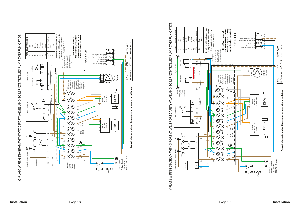



**Typical schematic wiring diagram for an unvented installation**

ISSUE No : 5

 $\frac{c}{\epsilon}$  $\frac{1}{q}$ 

07-12-10

N. Fursman

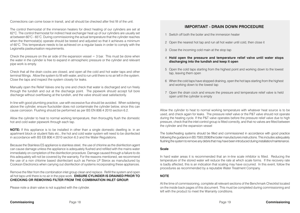Connections can come loose in transit, and all should be checked after first fill of the unit.

The control thermostat of the immersion heaters for direct heating of our cylinders are set at 62°C. The control thermostat for indirect heat exchanger heat up of our cylinders are usually set at between 60°C - 65°C. During commissioning the actual temperature that the cylinder reaches when the thermostat(s) operate should be tested and adjusted so that it achieves a minimum of 60°C. This temperature needs to be achieved on a regular basis in order to comply with the Legionella pasteurisation requirements.

Check the pressure on the air side of the expansion vessel  $=$  3 bar. This must be done when the water in the cylinder is free to expand in atmospheric pressure or the cylinder and relevant pipe work is empty.

Check that all the drain cocks are closed, and open all the cold and hot water taps and other terminal fittings. Allow the system to fill with water, and to run until there is no air left in the system. Close the taps and inspect the system closely for leaks.

Manually open the Relief Valves one by one and check that water is discharged and run freely through the tundish and out at the discharge point. The pipework should accept full bore discharge without overflowing at the tundish, and the valve should seat satisfactorily.

In line with good plumbing practice, use with excessive flux should be avoided. When soldering above the cylinder, ensure flux/solder does not contaminate the cylinder below, since this can cause corrosion. Flushing should be performed as per BS EN 806:4 2010 section 6.2.

Allow the cylinder to heat to normal working temperature, then thoroughly flush the domestic hot and cold water pipework through each tap.

**NOTE:** If this appliance is to be installed in other than a single domestic dwelling ie. in an apartment block or student flats etc., the hot and cold water system will need to be disinfected in accordance with BS EB 806:4 2010 section 6.3 and the Water Regulations.

Because the Stainless ES appliance is stainless steel, the use of chlorine as the disinfection agent can cause damage unless the appliance is adequately flushed and refilled with the mains water immediately on completion of the disinfection procedure. Damage caused through a failure to do this adequately will not be covered by the warranty. For the reasons mentioned, we recommend the use of a non chlorine based disinfectant such as Fernox LP Sterox as manufactured by Cookson Electronics when carrying out disinfection of systems incorporating these appliances.

Remove the filter from the combination inlet group clean and replace. Refill the system and open all hot taps until there is no air in the pipe work. **ENSURE CYLINDER IS DRAINED PRIOR TO CHECKING OR REMOVING FILTER FROM THE COMBINATION INLET GROUP.**

Please note a drain valve is not supplied with the cylinder.

### **IMPORTANT - DRAIN DOWN PROCEDURE**

- 1 Switch off both the boiler and the immersion heater
- 2 Open the nearest hot tap and run all hot water until cold, then close it
- 3 Close the incoming cold main at the stop tap
- 4 **Hold open the pressure and temperature relief valve until water stops discharging into the tundish and keep it open**
- 5 Open the cold taps starting from the highest point and working down to the lowest tap, leaving them open
- 6 When the cold taps have stopped draining, open the hot taps starting from the highest and working down to the lowest tap
- 7 Open the drain cock and ensure the pressure and temperature relief valve is held open until the cylinder is empty

Allow the cylinder to heat to normal working temperature with whatever heat source is to be used, and check again for leaks. The pressure relief valve or the P&T valve should not operate during the heating cycle. If the P&T valve operates before the pressure relief valve due to high pressure, check that the inlet control group is fitted correctly, and that no valves are fitted between the cylinder and the expansion vessel

The boiler/heating systems should be filled and commissioned in accordance with good practice following the guidance in BS 7593:2006/the boiler manufacturers instructions. This includes adequately flushing the system to remove any debris that may have been introduced during installation/maintenance.

#### **Scale**

In hard water areas it is recommended that an in-line scale inhibitor is fitted. Reducing the temperature of the stored water will reduce the rate at which scale forms. If the recovery rate is badly affected, this is an indication that scaling may have occurred. In this event, follow the procedures as recommended by a reputable Water Treatment Company.

#### **NOTE**

At the time of commissioning, complete all relevant sections of the Benchmark Checklist located on the inside back pages of this document. This must be completed during commissioning and left with the product to meet the Warranty conditions.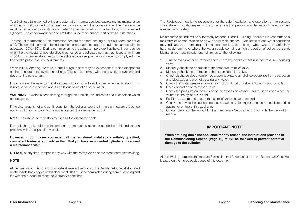Your Stainless ES unvented cylinder is automatic in normal use, but requires routine maintenance which is normally carried out at least annually along with the boiler service. The maintenance must be carried out by a suitably competent tradesperson who is qualified to work on unvented cylinders. The checks/work needed are listed in the maintenance part of these Instructions.

The control thermostat of the immersion heaters for direct heating of our cylinders are set at 62°C. The control thermostat for indirect heat exchanger heat up of our cylinders are usually set at between 60°C - 65°C. During commissioning the actual temperature that the cylinder reaches when the thermostat(s) operate should be tested and adjusted so that it achieves a minimum of 60°C. This temperature needs to be achieved on a regular basis in order to comply with the Legionella pasteurisation requirements.

When initially opening the taps, a small surge in flow may be experienced, which disappears as the pressure in the system stabilises. This is quite normal with these types of systems and does not indicate a fault.

In some areas the water will initially appear cloudy, but will quickly clear when left to stand. This is nothing to be concerned about and is due to aeration of the water.

**WARNING** - If water is seen flowing through the tundish, this indicates a fault condition which needs action.

If the discharge is hot and continuous, turn the boiler and/or the immersion heaters off, but do not turn off the cold water to the appliance until the discharge is cold.

**Note:** The discharge may stop by itself as the discharge cools.

If the discharge is cold and intermittent, no immediate action is needed but this indicates a problem with the expansion vessel.

**However, in both cases you must call the registered installer / a suitably qualified, competent tradesperson, advise them that you have an unvented cylinder and request a maintenance visit.**

**DO NOT,** at any time, tamper in any way with the safety valves or overheat thermostats/wiring.

#### **NOTE**

At the time of commissioning, complete all relevant sections of the Benchmark Checklist located on the inside back pages of this document. This must be completed during commissioning and left with the product to meet the Warranty conditions.

The Registered Installer is responsible for the safe installation and operation of the system. The installer must also make his customer aware that periodic maintenance of the equipment is essential for safety.

Maintenance periods will vary for many reasons. Gledhill Building Products Ltd recommend a maximum of 12 months to coincide with boiler maintenance. Experience of local water conditions may indicate that more frequent maintenance is desirable, eg, when water is particularly hard, scale-forming or where the water supply contains a high proportion of solids, eg, sand. Maintenance must include, but not limited to, the following:

- 1. Turn the mains water off, remove and clean the strainer element in in the Pressure Reducing Valve.
- 2. Manually check the operation of the temperature relief valve.
- 3. Manually check the operation of the expansion relief valve.
- 4. Check discharge pipes from temperature and expansion relief valves are free from obstruction and blockage and are not passing any water.
- 5. Check that water pressure downstream of combination valve is 3 bar in static condition.
- 6. Check operation of motorised valve.
- 7. Check the pressure on the air side of the expansion vessel. This must be done when the volume in the cylinders is cold.
- 8. Re-fill the system and ensure that all relief valves have re-seated.
- 9. Check and advise the householder not to place any clothing or other combustible materials against or on top of this appliance.
- 10. On completion of the work, fill in the Benchmark Service Record towards the back of this manual.

#### **IMPORTANT NOTE**

**When draining down the appliance for any reason, the instructions provided in the Commissioning Section (Page 19) MUST be followed to prevent potential damage to the cylinder.**

After servicing, complete the relevant Service Interval Record section of the Benchmark Checklist located on the inside back pages of this document.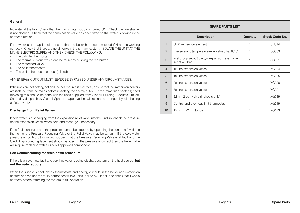#### **General**

No water at the tap. Check that the mains water supply is turned ON. Check the line strainer is not blocked. Check that the combination valve has been fitted so that water is flowing in the correct direction.

If the water at the tap is cold, ensure that the boiler has been switched ON and is working correctly. Check that there are no air locks in the primary system. ISOLATE THE UNIT AT THE MAINS ELECTRIC SUPPLY AND THEN CHECK THE FOLLOWING:

- i. The cylinder thermostat
- ii. The thermal cut-out, which can be re-set by pushing the red button
- iii. The motorised valve
- iv. The boiler thermostat
- v. The boiler thermostat cut-out (if fitted)

#### ANY ENERGY CUT-OUT MUST NEVER BE BY-PASSED UNDER ANY CIRCUMSTANCES.

If the units are not getting hot and the heat source is electrical, ensure that the immersion heaters are isolated from the mains before re-setting the energy cut-out. If the immersion heater(s) need replacing this should be done with the units supplied from Gledhill Building Products Limited. Same day despatch by Gledhill Spares to approved installers can be arranged by telephoning 01253 474412.

#### **Discharge From Relief Valves**

If cold water is discharging from the expansion relief valve into the tundish check the pressure on the expansion vessel when cold and recharge if necessary.

If the fault continues and the problem cannot be stopped by operating the control a few times then either the Pressure Reducing Valve or the Relief Valve may be at fault. If the cold water pressure is too high, this would suggest that the Pressure Reducing Valve is at fault and the Gledhill approved replacement should be fitted. If the pressure is correct then the Relief Valve will require replacing with a Gledhill approved component.

#### **See Commissioning for drain down procedure.**

If there is an overheat fault and very hot water is being discharged, turn off the heat source, **but not the water supply**.

When the supply is cool, check thermostats and energy cut-outs in the boiler and immersion heaters and replace the faulty component with a unit supplied by Gledhill and check that it works correctly before returning the system to full operation.

|                | <b>SPARE PARTS LIST</b>                                               |                 |                       |
|----------------|-----------------------------------------------------------------------|-----------------|-----------------------|
|                | <b>Description</b>                                                    | <b>Quantity</b> | <b>Stock Code No.</b> |
| 1              | 3kW immersion element                                                 |                 | <b>SH014</b>          |
| $\mathcal{P}$  | Pressure and temperature relief valve 6 bar 95°C                      |                 | <b>SG033</b>          |
| 3              | Inlet group set at 3 bar c/w expansion relief valve<br>set at 4.5 bar |                 | SG031                 |
| $\overline{4}$ | 12 litre expansion vessel                                             |                 | XG224                 |
| 5              | 19 litre expansion vessel                                             | 1               | XG225                 |
| 6              | 25 litre expansion vessel                                             | 1               | XG226                 |
| $\overline{7}$ | 35 litre expansion vessel                                             |                 | XG227                 |
| 8              | 22mm 2 port valve (indirects only)                                    | 1               | <b>XG089</b>          |
| $\Omega$       | Control and overheat limit thermostat                                 |                 | XG219                 |
| 10             | 15mm x 22mm tundish                                                   |                 | <b>XG173</b>          |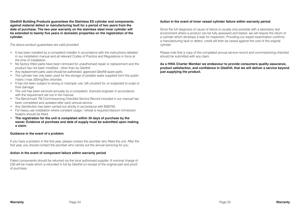**Gledhill Building Products guarantees the Stainless ES cylinder and components against material defect or manufacturing fault for a period of two years from the date of purchase. The two year warranty on the stainless steel inner cylinder will be extended to twenty five years in domestic properties on the registration of the cylinder.**

The above product guarantees are valid provided:

- It has been installed by a competent installer in accordance with the instructions detailed in our installation manual and all relevant Codes of Practice and Regulations in force at the time of installation.
- No factory fitted parts have been removed for unauthorised repair or replacement and the product has not been modified - other than by Gledhill.
- Any replacement parts used should be authorised, approved Gledhill spare parts.
- The cylinder has only been used for the storage of potable water supplied form the public mains (-max 200mg/litre chloride).
- It has not been subject to wrong or improper use, left uncared for, or subjected to scale or frost damage.
- The unit has been serviced annually by a competent, licenced engineer in accordance with the requirement set out in the manual.
- The Benchmark TM Commissioning Checklist Service Record included in our manual has been completed and updated after each annual service.
- Any disinfection has been carried out strictly in accordance with BS6700.
- For heavy use installation where constant usage / reheat is required titanium immersion heaters should be fitted.
- **The registration for the unit is completed within 30 days of purchase by the owner. Evidence of purchase and date of supply must be submitted upon making a claim.**

#### **Guidance in the event of a problem**

If you have a problem in the first year, please contact the plumber who fitted the unit. After the first year, you should contact the plumber who carries out the annual servicing for you.

#### **Action in the event of component failure within warranty period**

Failed components should be returned via the local authorised supplier. A nominal charge of £30 will be made which is refunded in full by Gledhill on receipt of the original part and proof of purchase.

#### **Action in the event of inner vessel cylinder failure within warranty period**

Since the full diagnosis of cause of failure is usually only possible with a laboratory test environment where a product can be fully assessed and tested, we will require the return of a cylinder which develops a leak for inspection. Providing our expert examination confirms a manufacturing fault or defect, credit will then be raised against the cost of the original cylinder.

Please note that a copy of the completed annual service record and commissioning checklist should be submitted with any claim.

**As a HWA Charter Member we endeavour to provide consumers quality assurance, product satisfaction, and confidence in Gledhill, that we will deliver a service beyond just supplying the product.**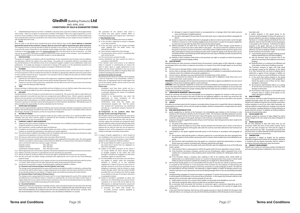#### **Gledhill** (Building Products) **Ltd**AMD. APRIL 2018

#### **CONDITIONS OF SALE & GUARANTEE TERMS**

**1.** Gledhill (Building Products) Ltd ("We" or "Gledhills") only do business upon the Conditions which appear below and no other. Unless we so agree in writing these Conditions shall apply in full to any supply of goods by us to the exclusion of any Conditions or terms sought to be imposed by any purchaser. These Conditions of Sale and Warranty Terms override those which are contained on the Invoice Forms and all Sales are now subject to these Conditions of Sale and Warranty terms only.

#### **2. PRICE**

Once an order or call off has been accepted the price will be held for three months **but if delivery is extended beyond that period at the customer's request, then we reserve the right to amend the price when necessary.** The company reviews its pricing annually to adjust for changes in our cost base. We reserve the right to alter prices at any time for severe movements in raw materials (mainly copper and steel). If there is to be a change we will give customers at least four weeks notice but anything delivered after that date will be at the revised price. An order may not be cancelled or varied after acceptance without the written consent of the company. Such cancellation or variation shall be subject to such reasonable charges as may be appropriate.

#### **3. SPECIFICATION**

The goods are supplied in accordance with the Specifications (if any) submitted to the Purchaser and any additions and alterations shall be the subject of an extra charge. Any goods not so specified shall be in accordance with our printed literature or the literature of any of our component suppliers (subject to any modifications made since publication). If we adopt any changes in construction or design of the goods, or in the specification printed in our literature, the Purchaser shall accept the goods so changed in fulfilment of the order.

#### **4. PAYMENT**

The buyer shall make payment in full within thirty days from the end of the month in which the invoice is dated. If we receive payment in full on or before the due date we will allow an appropriate settlement discount except where we have quoted a special net price. If payment is not received in full on or before the due date we shall be entitled in addition to the invoice price to:

- (i) payment of a sum equal to any increase in the copper price supplement applicable to the particular goods sold between the date of receipt of order and the date of receipt of payment in full; and
- (ii) interest on any part of the invoice price unpaid after the due date at the rate of 3% per annum over the base rate for the time being of HSBC Bank plc.

#### **5. TIME**

We give estimates of delivery dates in good faith and time of delivery is not nor shall be made of the essence of any contract nor shall we be liable for any loss or damage occasioned by delay in delivery.

#### **6. DELIVERY**

Standard delivery is free of charge on normal lead times to mainland UK. We reserve the right to make delivery of goods contained in one order by more than one consignment and at different times. Where a period is agreed for<br>delivery and such period is not extended by our Agreement, the Purchaser shall take delivery within that perio the Purchaser fails to take delivery, we shall be entitled at the Purchaser's risk and expense to store the goods at the Purchaser's premises or elsewhere and to demand payment as if they had been despatched. Off loading at point of delivery shall be the responsibility of and be undertaken by the Purchaser.

#### **7. SHORTAGES OR DAMAGE**

Goods must be inspected before signature of delivery note and any damage, shortage or discrepancy noted on the delivery note and the goods returned on the same vehicle. The buyer must also give us immediate written notice of the damage, shortage or discrepancy so that we may prompt investigation.

#### **8. RETURN OF GOODS**

Goods may not be returned to the Company except by prior written permission of an authorised officer of the Company and such return shall be subject to payment by the Purchaser of handling and re-stocking charges, transport and all other costs incurred by the Company.

#### **9. COMPANY LIABILITY AND GUARANTEE**

9.1. Subject to the terms of these Conditions of Sale and Guarantee Terms Gledhills provide Guarantees in respect of specific products as set out in this clause.

- 9.2. Each Guarantee is strictly conditional upon the following:-
- 9.2.1. Complaints must be given to us immediately, before any action is taken, as responsibility cannot be accepted if repairs or renewals are attempted on site without our written approval.
- 9.2.2. The unit has been installed in accordance with our installation and service instructions and all relevant codes of practice and regulations in force at the time of installation.
- 9.2.3. All necessary inlet controls and safety valves have been fitted correctly.
- 9.2.4. The unit has only been used for the storage of potable water supplied from the public mains. The water quality shall be in accordance with European Council Directive 98/83 EC, or revised version at the date of installation,
- and is not fed with water from a private supply. Particular:<br>Chloride content: Max. 200 mq/l

Chloride content: Max. 200 mg/<br>Sulphate content: Max. 200 mg/ Sulphate content

Combination chloride/sulphate: Max. 300 mg/l (in total)

#### 9.2.5 Where appropriate the unit has been regularly maintained as detailed in the installation and service instructions

9.2.6. Defects caused by corrosion or scale deposits are not covered by any Guarantee.

- 9.2.7. Where we agree to rectify any defect we reserve the right to undertake the work on our own premise
- 9.2.8. We will not accept any labour charges associated with replacing the unit or parts for any of the following products listed.
- 9.2.9. If the newly fitted water heater is not in regular use then it must be flushed through with fresh water for at least 15 minutes. Open at least one hot water tap once per week, during a period of at least 4 weeks.

#### 9.3. Guarantees are provided in respect of specified goods supplied by Gledhills as follows:-

**(a) Domestic and Commercial Open Vented Cylinders and Tanks.**

The storage vessel is guaranteed for ten years and if it proves to be defective either in materials or workmanship, we reserve the right to either repair or supply replacement at our option with the closest substitute in the case of any obsolete product to any address in England, Wales and Scotland (excluding all Scottish Islands).

#### **(b) Domestic Mains Fed Products [Primary Stores]**

The storage vessel is guaranteed for five years and if it or any integral pipework as part of the storage vessel assembly proves to be defective either in materials or workmanship, we reserve the right to either repair or supply replacement at our option with the closest substitute in the case of any obsolete product to any address in England, Wales and Scotland (excluding all Scottish Islands).

#### **(c) Unvented Cylinders**

Gledhill guarantee the components including controls, valves and electrical parts for two years from the date of purchase. IT SHOULD BE NOTED THAT THE FACTORY FITTED TEMPERATURE AND PRESSURE RELIEF VALVE MUST NOT BE REMOVED OR ALTERED IN ANY WAY OR THE GUARANTEE WILL NOT BE VALID. GLEDHILL WILL NOT BE RESPONSIBLE FOR ANY CONSEQUENTIAL LOSS OR DAMAGE HOWEVER IT IS CAUSED.

The guarantee for the stainless steel vessel is for twenty five years against material defect or manufacturing faults if the original unit is returned to us AND PROVIDED THAT:

- It has not been modified, other than by Gledhill. (ii) It has not been subjected to wrong or improper use or left uncared for.
- (iii) It has only been used for the storage of potable water supplied from the public mains, max
- 200mg/litre chloride. (iv) It has not been subjected to frost damage. (v) The benchmark service record is completed after
- each annual service. (vi) The unit has been serviced annually.
- (vii)Any disinfection has been carried out strictly in accordance with BS6700.

#### If the stainless steel vessel proves to be defective either in materials or workmanship we reserve the right to either repair or supply replacement at our

option with the closest substitute in the case of any obsolete product to any address in England, Wales and Scotland (excluding all Scottish Islands). ACTION IN THE EVENT OF FAILURE

We will require the return of a cylinder which develops a leak for inspection. If our examination confirms a failure then an appropriate level of credit against the cost of the original cylinder will be issued in line with the terms of our warranty. **Please note:**

- Installation must have been carried out by a licensed specialized company (heating contractor or plumber) following the version of installation instructions in force.
- Gledhill or its representative was given the opportunity to check complaints on site immediately after any defect occurred.
- Confirmation exists that the system was commissioned properly and that the system was checked and maintenance was performed annually by a specialised company licensed for
- this purpose. **(d) Components of our products other than**

#### **Storage Vessels and Integral Pipework.**  We will either extend to the purchaser the same terms

of warranty as we are given by the manufacturer of the component or if the manufacturer does not give any warranty, replace free of charge any component which becomes defective within two years after the date of the delivery by us and is returned to us at the purchaser's expense but we shall not meet the cost of removal or shipping or return of the component or any other cost charges or damages incurred by the purchaser.

#### 9.4.1. In respect of goods supplied by us and in respect of

9.4.

- any installation work carried out by or on our behalf, our entire liability and the purchaser's sole remedies (subject to the Guarantees) shall be as follows:- (a) We accept liability for death or personal injury to
- the extent that it results from our negligence or that of our employees (b) Subject to the other provisions of this clause 9
- we accept liability for direct physical damage to tangible property to the extent that such damage is caused by our negligence or that of our employees, agents or subcontractors.
- (c) Our total liability to the purchaser over and above any liability to replace under the Guarantees (whether in contract or in tort including negligence) in respect of any one cause of loss or damage claimed to result from any breach of our obligations hereunder, shall be limited to actual money damages which shall not exceed £20,000 provided that such monetary limit shall not apply to any liability on the part of ourselves referred to in paragraph (a) above
- (d) Except as provided in paragraph (a) above but otherwise not withstanding any provision herein contained in no event shall we be liable for the following loss or damage howsoever caused and even if foreseeable by us or in our contemplation:- (i) economic loss which shall include loss
	- of profits, business revenue, goodwill or anticipated savings

 (ii) damages in respect of special indirect or consequential loss or damage (other than death, personal injury and damage to tangible property)

have been sold.

building.

damaged or destroyed :- (ii) the Purchaser shall forthwith inform us in writing of the fact and circumstances of such loss, theft,

damage or destruction.

terminate all outstanding orders.<br>minate all outstanding orders. **15. VALUE ADDED TAX**

**14. NON-PAYMENT**

invoice. **16. TRADE SALES ONLY**

if, before property in the goods passes to the Purchaser under paragraph (2) above the goods are or become affixed to any land or building owned by the Purchaser it is hereby agreed and declared that such affixation shall not have the effect of passing property in the goods to the Purchaser. Furthermore if, before property in the goods shall pass to the Purchaser under paragraph (2) hereof, the goods are or become affixed to any land or building (whether or not owned by the Purchaser), the Purchaser shall:- (i) ensure that the goods are capable of being removed without material injury to such land or building. (ii) take all necessary steps to prevent title to the goods from passing to the landlord of such land or

(iii) forthwith inform us in writing of such affixation and of the address of the land or building concerned. The Purchaser warrants to repair and make good any damage caused by the affixation of the goods to or their removal from any land or building and to indemnify us against all loss damage or liability we may incur or sustain as a result of affixation or removal. (i) in the event that, before property in the goods has passed to the Purchaser under paragraph (2) hereof, the goods or any of them are lost, stolen,

(iii) the Purchaser shall assign to us the benefit of any insurance claim in respect of the goods so lost, stolen, damaged or destroyed.

If the Purchaser shall fail to make full payment for the goods supplied hereunder within the time stipulated in clause 4 hereof or be in default of payment for any other reason then, without prejudice to any of our other rights hereunder, we shall be entitled to stop all deliveries of goods and materials to the Purchaser, including deliveries or further deliveries of goods under this contract. In addition we shall be entitled to

All prices quoted are exclusive of Value Added Tax which will be charged at the rate ruling at the date of despatch of

We are only prepared to deal with those who are not consumers within the terms of the Unfair Contract Terms Act 1977, the Sale of Goods Act 1979 and the Supply of Goods and Services Act 1982. Accordingly any person who purchases from us shall be deemed to have represented that he is not a consumer by so purchasing. **17. JURISDICTION**

The agreement is subject to English law for products delivered in England and Scottish law for products delivered in Scotland and any dispute hereunder shall be settled in accordance therewith dependent upon the location **18. PRODUCT DEVELOPMENT**

Gledhill have a policy of continuous product development and may introduce product modifications from time to time.

- (iii) any claim made against the purchaser by any other party (save as expressly provided in paragraph (b) above)
- (e) Except in respect of our liability referred to in paragraph (a) above no claim may be made or action brought (whether in contract or in tort including negligence) by the purchaser in respect of any goods supplied by us more than one year after the date of the invoice for the relevant goods.
- (f) Without prejudice to any other term we shall not be liable for any water damage caused directly or indirectly as a result of any leak or other defect in the goods. We cannot control the conditions of use of the goods or the time or manner or location in which they will be installed and the purchaser agrees to be fully responsible for testing and checking all works which include the goods at all relevant times (up to, including and after commissioning) and for taking all necessary steps to identify any leaks and prevent any damage being caused thereby.
- (g) Nothing in these Conditions shall confer on the purchaser any rights or remedies to which the purchaser would not otherwise be legally entitled

#### **10. LOSS OR INJURY**

Notwithstanding any other provision contained herein the purchaser's hereby agree to fully indemnify us against any damages losses costs claims or expenses incurred by us in respect of any claim brought against us by any third

- party for:- (a) any loss injury or damage wholly or partly caused by any goods supplied by us or their use.
- (b) any loss injury or damage wholly or partly caused by the defective installation or substandard workmanship or materials used in the installation of any goods supplied by us.
- (c) any loss injury or damage in any way connected with the performance of this contract.
- any loss resulting from any failure by the purchaser to comply with its obligations under these terms as to install and/or check works correctly.

**PROVIDED** that this paragraph will not require the purchaser to indemnify us against any liability for our own acts of negligence or those of our employees agents or sub-contractors

**FURTHER** in the case of goods supplied by us which are re-sold and installed by a third party by the purchaser it will be the sole responsibility of the purchaser to test the goods immediately after their installation to ensure that inter alia they are correctly installed and in proper working order free from leaks and are not likely to cause any loss injury or damage to any person or property.

#### **11. VARIATION OF WARRANTY AND EXCLUSION**

Should our warranty and exclusion be unacceptable we are prepared to negotiate for variation in their terms but only on the basis of an increase in the price to allow for any additional liability or risk which may result from the variation. Purchasers are advised to insure against any risk or liability which they may incur and which is not covered by our warranty.

#### **12. ADVICE**

Any advice or assistance given by the Company is provided without charge and is in good faith without undertaking, representation or warranty, and we will not accept any liability, whether consequential or compensatory, for advice or assistance given.

#### **13. RISK AND RETENTION OF TITLE**

- (a) goods supplied by us shall be at the Purchaser's risk immediately upon delivery to the Purchaser or into custody on the Purchaser's behalf or to the Purchaser's Order. The Purchaser shall effect adequate insurance of the goods against all risks to the full invoice value of the goods, such insurance to be effective from the time of delivery until property in the goods shall pass to the Purchaser as hereinafter provided. (b) property in the goods supplied hereunder will pass to the Purchaser when full payment has been made by the
- Purchaser to us for :- (i) the goods of the subject of this contract.
- 
- (ii) all other goods the subject to of any other contract between the Purchaser and us which, at the time of payment of the full price of the goods sold under this contract, have been delivered to the Purchaser but not paid for in full.
- (c) until property in the goods supplied hereunder passes to the Purchaser in accordance with paragraph (2) above. (i) the Purchaser shall hold the goods in a fiduciary capacity for us and shall store the same separately from
	- any other goods in the Purchaser's possession and in a manner which enables them to be identified as our goods.
- (ii) the Purchaser shall immediately return the goods to us should our authorised representative so request. All the necessary incidents associated with a fiduciary relationship shall apply.
- (d) the Purchaser's right to possess the goods shall cease forthwith upon the happening of any of the following events, namely :-(i) if the Purchaser fails to make payment in full for the goods within the time stipulated in clause 4 hereof.
	- (ii) if the Purchaser, not being a company, commits any act of bankruptcy, makes a proposal to his or her creditors for a compromise or does anything which would entitle a petition for a Bankruptcy Order to be presented.
	- (iii) if the Purchaser, being a company, does anything or fails to do anything which would entitle an administrator or an administrative receiver or a receiver to take possession of any assets or which would entitle any person to present a petition for winding up or to apply for an administration order.
- (e) the Purchaser hereby grants to us an irrevocable licence to enter at any time any vehicle or premises owned or occupied by the Purchaser or in the possession of the Purchaser for the purposes of repossessing and recovering any such goods the property in which has remained in us under paragraph (2) above. We shall not be responsible for and the Purchaser will indemnify us against liability in respect of damage caused to any vehicle or premises in such repossession and removal being damaged which it was not reasonably practicable to avoid.
- notwithstanding paragraph (3) hereof and subject to paragraph (7) hereof, the Purchaser shall be permitted to sell the goods to third parties in the normal course of business. In this respect the Purchaser shall act in the capacity of our commission agent and the proceeds of such sale :-
- (i) shall be held in trust for us in a manner which enables such proceeds to be identified as such, and:
- (ii) shall not be mixed with other monies nor paid into an overdrawn bank account.
- We, as principal, shall remunerate the Purchaser as commission agent a commission depending upon the surplus which the Purchaser can obtain over and above the sum, stipulated in this contract of supply which will satisfy us.
- (g) in the event that the Purchaser shall sell any of the goods pursuant to clause (6) hereof, the Purchaser shall forthwith inform us in writing of such sale and of the identity and address of the third party to whom the goods

**Terms and Conditions Terms and Conditions**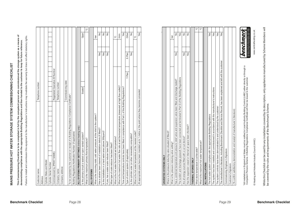# **This Commissioning Checklist is to be completed in full by the competent person who commissioned the storage system as a means of**  MAINS PRESSURE HOT WATER STORAGE SYSTEM COMMISSIONING CHECKLIST **MAINS PRESSURE HOT WATER STORAGE SYSTEM COMMISSIONING CHECKLIST**

This Commissioning Checklist is to be completed in full by the competent person who commissioned the storage system as a means of<br>demonstrating compliance with the appropriate Building Regulations and then handed to the cu **This Commissioning Checklist is to be completed in full by the competent person who commissioned the storage system as a means of**  Fallure to install and commission this equipment to the manufacturer's instructions may invalidate the warranty but does not affect statutory rights. demonstrating compliance with the appropriate Building Regulations and then handed to the customer to keep for future reference. **demonstrating compliance with the appropriate Building Regulations and then handed to the customer to keep for future reference. demonstrating compliance with the appropriate Building Regulations and then handed to the customer to keep for future reference.**

Failure to install and commission this equipment to the manufacturer's instructions may invalidate the warranty but does not affect statutory rights.

| Customer name:                                                                                        | Telephone number:              |        |               |  |
|-------------------------------------------------------------------------------------------------------|--------------------------------|--------|---------------|--|
| Address:                                                                                              |                                |        |               |  |
| Cylinder Make and Model                                                                               |                                |        |               |  |
| Cylinder Serial Number                                                                                |                                |        |               |  |
| Commissioned by (PRINT NAME):                                                                         | Registered Operative ID Number |        |               |  |
| Company name:                                                                                         | Telephone number:              |        |               |  |
| Company address:                                                                                      |                                |        |               |  |
|                                                                                                       | Commissioning date:            |        |               |  |
| To be completed by the customer on receipt of a Building Regulations Compliance Certificate*:         |                                |        |               |  |
| Building Regulations Notification Number (if applicable)                                              |                                |        |               |  |
| ALL SYSTEMS PRIMARY SETTINGS (indirect heating only)                                                  |                                |        |               |  |
| Is the primary circuit a sealed or open vented system?                                                | Sealed                         |        | Open          |  |
| What is the maximum primary flow temperature?                                                         |                                |        | ပ္ပ           |  |
| ALL SYSTEMS                                                                                           |                                |        |               |  |
| What is the incoming static cold water pressure at the inlet to the system?                           |                                |        | bar           |  |
| Has a strainer been cleaned of installation debris (if fitted)?                                       |                                | Yes    | $\frac{1}{2}$ |  |
| Is the installation in a hard water area (above 200ppm)?                                              |                                | Yes    | $\frac{1}{2}$ |  |
| If yes, has a water scale reducer been fitted?                                                        |                                | Yes    | $\frac{1}{2}$ |  |
| What type of scale reducer has been fitted?                                                           |                                |        |               |  |
| What is the hot water thermostat set temperature?                                                     |                                |        | ပ္ပ           |  |
| What is the maximum hot water flow rate at set thermostat temperature (measured at high flow outlet)? |                                |        | I/min         |  |
| Time and temperature controls have been fitted in compliance with Part L of the Building Regulations? |                                |        | Yes           |  |
| Type of control system (if applicable)                                                                | $Y$ Plan                       | S Plan | Other         |  |
| Is the cylinder solar (or other renewable) compatible?                                                |                                | Yes    | $\frac{1}{2}$ |  |
| What is the hot water temperature at the nearest outlet?                                              |                                |        | ပ္ခ           |  |
| All appropriate pipes have been insulated up to 1 metre or the point where they become concealed      |                                |        | Yes           |  |
|                                                                                                       |                                |        |               |  |

| Where is the pressure reducing valve situated (if fitted)?                                                                      |           |               |  |
|---------------------------------------------------------------------------------------------------------------------------------|-----------|---------------|--|
| What is the pressure reducing valve setting?                                                                                    | bar       |               |  |
| Has a combined temperature and pressure relief valve and expansion valve been fitted and discharge tested?                      | Yes       | $\frac{1}{2}$ |  |
| The tundish and discharge pipework have been connected and terminated to Part G of the Building Regulations                     |           | Yes           |  |
| Are all energy sources fitted with a cut out device?                                                                            | Yes       | $\frac{1}{2}$ |  |
| Has the expansion vessel or internal air space been checked?                                                                    | Yes       | $\frac{1}{2}$ |  |
| THERMAL STORES ONLY                                                                                                             |           |               |  |
| What store temperature is achievable?                                                                                           |           | ပ္င           |  |
| What is the maximum hot water temperature?                                                                                      |           | ပ္ခ           |  |
| ALL INSTALLATIONS                                                                                                               |           |               |  |
| The hot water system complies with the appropriate Building Regulations                                                         |           | Yes           |  |
| The system has been installed and commissioned in accordance with the manufacturer's instructions                               |           | Yes           |  |
| The system controls have been demonstrated to and understood by the customer                                                    |           | Yes           |  |
| The manufacturer's literature, including Benchmark Checklist and Service Record, has been explained and left with the customer  |           | Yes           |  |
| Commissioning Engineer's Signature                                                                                              |           |               |  |
| Customer's Signature                                                                                                            |           |               |  |
| (To confirm satisfactory demonstration and receipt of manufacturer's literature)                                                |           |               |  |
| All installations in England and Wales must be notified to Local Authority Building Control (LABC) either directly or through a | benchmark |               |  |

**UNVENTED SYSTEMS ONLY**

UNVENTED SYSTEMS ONLY

UNVERITED SYSTEMS ONLY

Has the expansion vessel or internal air space been checked? Yes No

:All installations in England and Wales must be notified to Local Authority Building Control (LABC) either directly or through a<br>Competent Persons Scheme. A Building Regulations Compilance Certificate will then be issued t \*All installations in England and Wales must be notified to Local Authority Building Control (LABC) either directly or through a Competent Persons Scheme. A Building Regulations Compliance Certificate will then be issued to the customer.

© Heating and Hotwater Industry Council (HHIC)

www.centralheating.co.uk © Heating and Hotwater Industry Council (HHIC) www.centralheating.co.uk N LOM ONE WAS CONFIDENCED IN THE INVESTIGATION OF DRIVING SEMICING ON CONFIDENCE HER INVESTIGATION CONFIDENCE<br>O WOLLFULLY CONFIDENCED IN THE INVESTIGATION CONFIDENCE.

While this Checklist can be used for any installation covered by its description, only appliances manufactured by Scheme Members will<br>be covered by the rules and requirements of the Benchmark Scheme. While this Checklist can be used for any installation covered by its description, only appliances manufactured by Scheme Members will \*All installations in England and Wales must be notified to Local Authority Building Control (LABC) either directly or through a be covered by the rules and requirements of the Benchmark Scheme.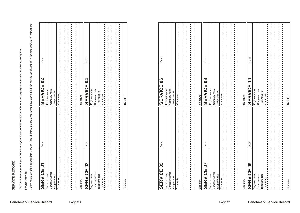| <b>SERVICE 01</b> | Date: | <b>SERVICE 02</b> | Date: |
|-------------------|-------|-------------------|-------|
| Engineer name:    |       | Engineer name:    |       |
| Company name:     |       | Company name:     |       |
| Telephone No:     |       | Telephone No:     |       |
| Comments:         |       | Comments:         |       |
|                   |       |                   |       |
|                   |       |                   |       |
|                   |       |                   |       |
|                   |       |                   |       |
|                   |       |                   |       |
| Signature         |       | Signature         |       |
| <b>SERVICE 03</b> | Date: | <b>SERVICE 04</b> | Date: |
| Engineer name:    |       | Engineer name:    |       |
| Company name:     |       | Company name:     |       |
| Telephone No:     |       | Telephone No:     |       |
| Comments:         |       | Comments:         |       |
|                   |       |                   |       |
|                   |       |                   |       |
|                   |       |                   |       |
|                   |       |                   |       |
|                   |       |                   |       |
| Signature         |       | Signature         |       |
|                   |       |                   |       |

| Service Provider                                              | Before completing the appropriate Service Record below, please ensure you have carried out the service as described in the manufacturer's instructions. |                                                               |       |
|---------------------------------------------------------------|---------------------------------------------------------------------------------------------------------------------------------------------------------|---------------------------------------------------------------|-------|
| $\ddot{\bullet}$<br><b>SERVICE</b>                            | Date:                                                                                                                                                   | <b>S</b><br><b>SERVICE</b>                                    | Date: |
| Engineer name:                                                |                                                                                                                                                         | Engineer name                                                 |       |
| Company name:<br>Telephone No:                                |                                                                                                                                                         | Company name:<br>Telephone No:                                |       |
| Comments:                                                     |                                                                                                                                                         | Comments:                                                     |       |
|                                                               |                                                                                                                                                         |                                                               |       |
| Signature                                                     |                                                                                                                                                         | Signature                                                     |       |
| <u>၁</u><br><b>SERVICE</b>                                    | Date:                                                                                                                                                   | $\overline{a}$<br><b>SERVICE</b>                              | Date: |
| Engineer name:                                                |                                                                                                                                                         | Engineer name:                                                |       |
| Company name:<br>Telephone No:                                |                                                                                                                                                         | Company name:<br>Telephone No:                                |       |
| Comments:                                                     |                                                                                                                                                         | Comments:                                                     |       |
|                                                               |                                                                                                                                                         |                                                               |       |
|                                                               |                                                                                                                                                         |                                                               |       |
| Signature                                                     |                                                                                                                                                         | Signature                                                     |       |
| Company name:<br>Engineer name:<br>Telephone No:<br>Comments: |                                                                                                                                                         | Company name:<br>Engineer name:<br>Telephone No:<br>Comments: |       |
| Signature                                                     |                                                                                                                                                         | Signature                                                     |       |
| 5<br><b>SERVICE</b>                                           | Date:                                                                                                                                                   | $\bf{80}$<br><b>SERVICE</b>                                   | Date: |
| Engineer name:                                                |                                                                                                                                                         | Engineer name:                                                |       |
| Company name:<br>Telephone No:<br>Comments:                   |                                                                                                                                                         | Company name:<br>Telephone No:<br>Comments:                   |       |
| Signature                                                     |                                                                                                                                                         | Signature                                                     |       |
| 80<br><b>SERVICE</b>                                          | Date:                                                                                                                                                   | $\overline{\phantom{0}}$<br><b>SERVICE</b>                    | Date: |
| Engineer name:                                                |                                                                                                                                                         |                                                               |       |
| Company name:<br>Telephone No:                                |                                                                                                                                                         | Engineer name:<br>Company name:<br>Telephone No:              |       |
| Comments:                                                     |                                                                                                                                                         | Comments:                                                     |       |
|                                                               |                                                                                                                                                         |                                                               |       |
| Signature                                                     |                                                                                                                                                         | Signature                                                     |       |